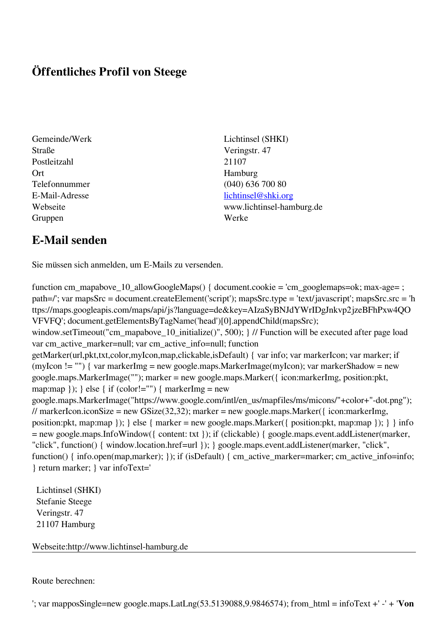## **Öffentliches Profil von Steege**

- Straße Veringstr. 47 Postleitzahl 21107 Ort Hamburg Gruppen Werke
- Gemeinde/Werk Lichtinsel (SHKI) Telefonnummer (040) 636 700 80 E-Mail-Adresse [lichtinsel@shki.org](mailto:lichtinsel@shki.org) Webseite www.lichtinsel-hamburg.de

## **E-Mail senden**

Sie müssen sich anmelden, um E-Mails zu versenden.

function cm\_mapabove\_10\_allowGoogleMaps() { document.cookie = 'cm\_googlemaps=ok; max-age= ; path=/'; var mapsSrc = document.createElement('script'); mapsSrc.type = 'text/javascript'; mapsSrc.src = 'h ttps://maps.googleapis.com/maps/api/js?language=de&key=AIzaSyBNJdYWrIDgJnkvp2jzeBFhPxw4QO VFVFQ'; document.getElementsByTagName('head')[0].appendChild(mapsSrc); window.setTimeout("cm\_mapabove\_10\_initialize()", 500); } // Function will be executed after page load var cm\_active\_marker=null; var cm\_active\_info=null; function getMarker(url,pkt,txt,color,myIcon,map,clickable,isDefault) { var info; var markerIcon; var marker; if (myIcon != "") { var markerImg = new google.maps.MarkerImage(myIcon); var markerShadow = new google.maps.MarkerImage(""); marker = new google.maps.Marker({ icon:markerImg, position:pkt, map:map  $\}$ ;  $\}$  else  $\{$  if (color!="")  $\{$  markerImg = new google.maps.MarkerImage("https://www.google.com/intl/en\_us/mapfiles/ms/micons/"+color+"-dot.png"); // markerIcon.iconSize = new GSize(32,32); marker = new google.maps.Marker({ $i$ con:markerImg, position:pkt, map:map }); } else { marker = new google.maps.Marker({ position:pkt, map:map }); } } info = new google.maps.InfoWindow({ content: txt }); if (clickable) { google.maps.event.addListener(marker, "click", function() { window.location.href=url }); } google.maps.event.addListener(marker, "click", function() { info.open(map,marker); }); if (isDefault) { cm\_active\_marker=marker; cm\_active\_info=info; } return marker; } var infoText='

 Lichtinsel (SHKI) Stefanie Steege Veringstr. 47 21107 Hamburg

Webseite:http://www.lichtinsel-hamburg.de

Route berechnen:

'; var mapposSingle=new google.maps.LatLng(53.5139088,9.9846574); from\_html = infoText +' -' + '**Von**